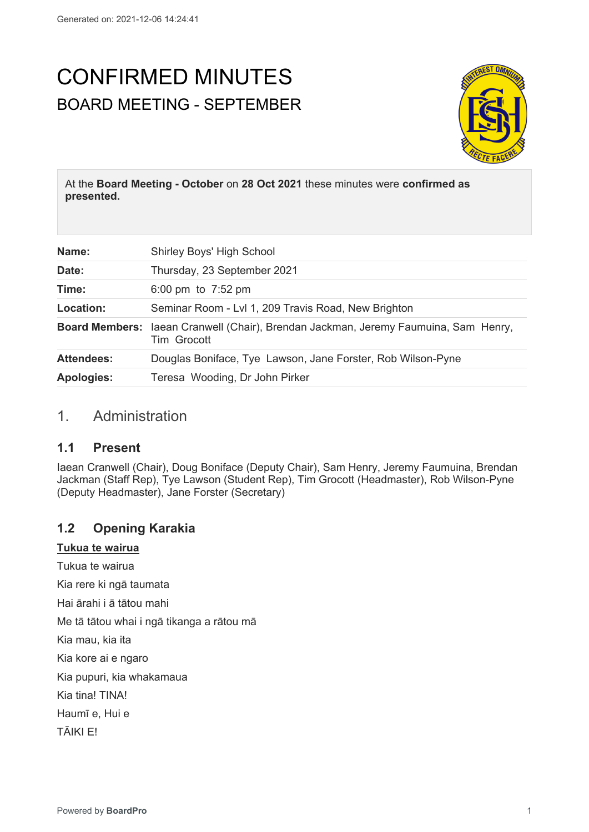# CONFIRMED MINUTES BOARD MEETING - SEPTEMBER



At the **Board Meeting - October** on **28 Oct 2021** these minutes were **confirmed as presented.**

| Name:             | Shirley Boys' High School                                                                          |
|-------------------|----------------------------------------------------------------------------------------------------|
| Date:             | Thursday, 23 September 2021                                                                        |
| Time:             | 6:00 pm to $7:52$ pm                                                                               |
| Location:         | Seminar Room - Lvl 1, 209 Travis Road, New Brighton                                                |
|                   | Board Members: laean Cranwell (Chair), Brendan Jackman, Jeremy Faumuina, Sam Henry,<br>Tim Grocott |
| <b>Attendees:</b> | Douglas Boniface, Tye Lawson, Jane Forster, Rob Wilson-Pyne                                        |
| <b>Apologies:</b> | Teresa Wooding, Dr John Pirker                                                                     |

# 1. Administration

#### **1.1 Present**

Iaean Cranwell (Chair), Doug Boniface (Deputy Chair), Sam Henry, Jeremy Faumuina, Brendan Jackman (Staff Rep), Tye Lawson (Student Rep), Tim Grocott (Headmaster), Rob Wilson-Pyne (Deputy Headmaster), Jane Forster (Secretary)

# **1.2 Opening Karakia**

#### **Tukua te wairua**

Tukua te wairua

Kia rere ki ngā taumata

Hai ārahi i ā tātou mahi

Me tā tātou whai i ngā tikanga a rātou mā

Kia mau, kia ita

Kia kore ai e ngaro

Kia pupuri, kia whakamaua

Kia tina! TINA!

Haumī e, Hui e

TĀIKI E!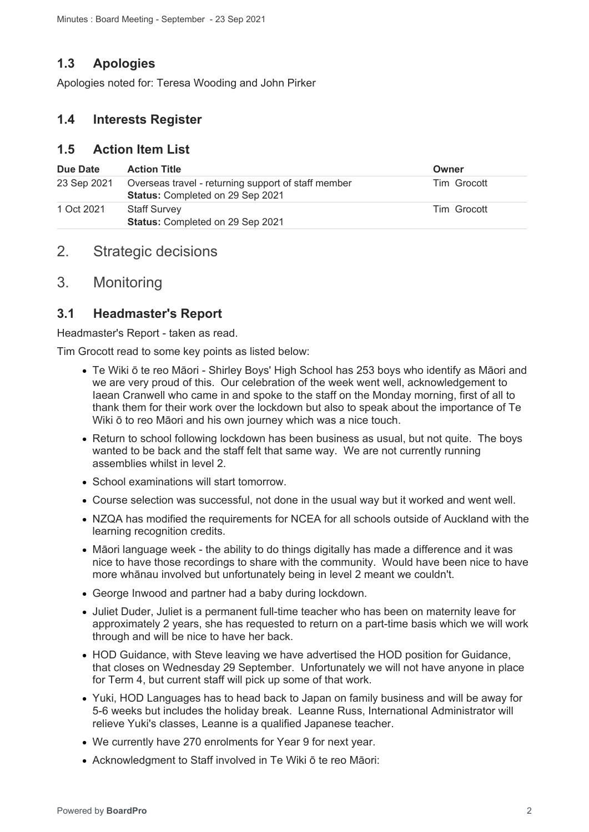# **1.3 Apologies**

Apologies noted for: Teresa Wooding and John Pirker

# **1.4 Interests Register**

## **1.5 Action Item List**

| Due Date    | <b>Action Title</b>                                                                     | Owner       |
|-------------|-----------------------------------------------------------------------------------------|-------------|
| 23 Sep 2021 | Overseas travel - returning support of staff member<br>Status: Completed on 29 Sep 2021 | Tim Grocott |
| 1 Oct 2021  | <b>Staff Survey</b><br>Status: Completed on 29 Sep 2021                                 | Tim Grocott |

# 2. Strategic decisions

# 3. Monitoring

# **3.1 Headmaster's Report**

Headmaster's Report - taken as read.

Tim Grocott read to some key points as listed below:

- Te Wiki ō te reo Māori Shirley Boys' High School has 253 boys who identify as Māori and we are very proud of this. Our celebration of the week went well, acknowledgement to Iaean Cranwell who came in and spoke to the staff on the Monday morning, first of all to thank them for their work over the lockdown but also to speak about the importance of Te Wiki ō to reo Māori and his own journey which was a nice touch.
- Return to school following lockdown has been business as usual, but not quite. The boys wanted to be back and the staff felt that same way. We are not currently running assemblies whilst in level 2.
- School examinations will start tomorrow.
- Course selection was successful, not done in the usual way but it worked and went well.
- NZQA has modified the requirements for NCEA for all schools outside of Auckland with the learning recognition credits.
- Māori language week the ability to do things digitally has made a difference and it was nice to have those recordings to share with the community. Would have been nice to have more whānau involved but unfortunately being in level 2 meant we couldn't.
- George Inwood and partner had a baby during lockdown.
- Juliet Duder, Juliet is a permanent full-time teacher who has been on maternity leave for approximately 2 years, she has requested to return on a part-time basis which we will work through and will be nice to have her back.
- HOD Guidance, with Steve leaving we have advertised the HOD position for Guidance, that closes on Wednesday 29 September. Unfortunately we will not have anyone in place for Term 4, but current staff will pick up some of that work.
- Yuki, HOD Languages has to head back to Japan on family business and will be away for 5-6 weeks but includes the holiday break. Leanne Russ, International Administrator will relieve Yuki's classes, Leanne is a qualified Japanese teacher.
- We currently have 270 enrolments for Year 9 for next year.
- Acknowledgment to Staff involved in Te Wiki ō te reo Māori: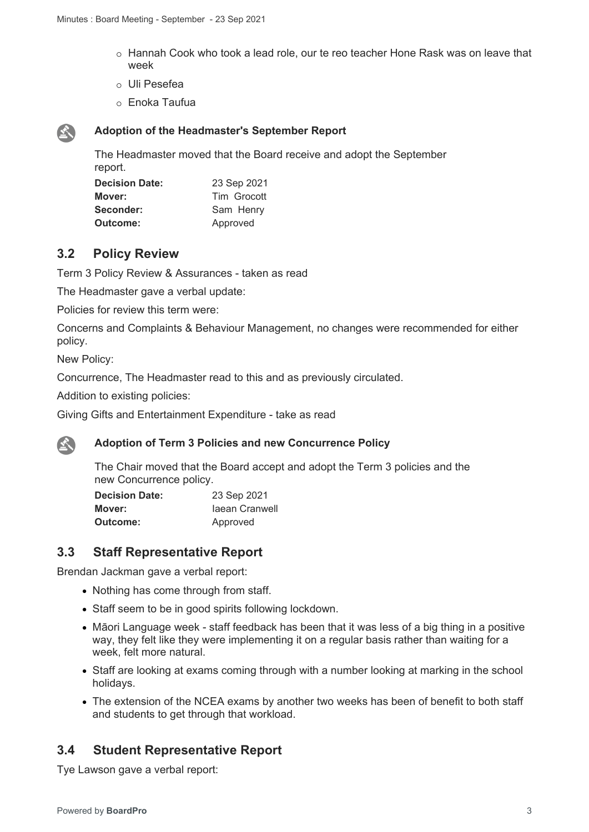- o Hannah Cook who took a lead role, our te reo teacher Hone Rask was on leave that week
- o Uli Pesefea
- o Enoka Taufua



#### **Adoption of the Headmaster's September Report**

The Headmaster moved that the Board receive and adopt the September report.

| <b>Decision Date:</b> | 23 Sep 2021 |
|-----------------------|-------------|
| Mover:                | Tim Grocott |
| Seconder:             | Sam Henry   |
| Outcome:              | Approved    |

# **3.2 Policy Review**

Term 3 Policy Review & Assurances - taken as read

The Headmaster gave a verbal update:

Policies for review this term were:

Concerns and Complaints & Behaviour Management, no changes were recommended for either policy.

New Policy:

Concurrence, The Headmaster read to this and as previously circulated.

Addition to existing policies:

Giving Gifts and Entertainment Expenditure - take as read

#### **Adoption of Term 3 Policies and new Concurrence Policy**

The Chair moved that the Board accept and adopt the Term 3 policies and the new Concurrence policy.

| <b>Decision Date:</b> | 23 Sep 2021    |
|-----------------------|----------------|
| Mover:                | laean Cranwell |
| Outcome:              | Approved       |

# **3.3 Staff Representative Report**

Brendan Jackman gave a verbal report:

- Nothing has come through from staff.
- Staff seem to be in good spirits following lockdown.
- Māori Language week staff feedback has been that it was less of a big thing in a positive way, they felt like they were implementing it on a regular basis rather than waiting for a week, felt more natural.
- Staff are looking at exams coming through with a number looking at marking in the school holidays.
- The extension of the NCEA exams by another two weeks has been of benefit to both staff and students to get through that workload.

# **3.4 Student Representative Report**

Tye Lawson gave a verbal report: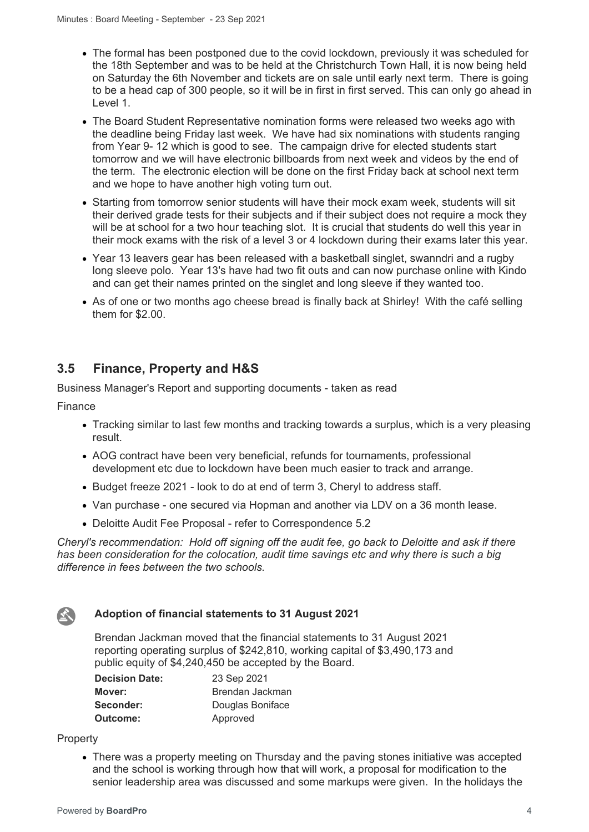- The formal has been postponed due to the covid lockdown, previously it was scheduled for the 18th September and was to be held at the Christchurch Town Hall, it is now being held on Saturday the 6th November and tickets are on sale until early next term. There is going to be a head cap of 300 people, so it will be in first in first served. This can only go ahead in Level 1.
- The Board Student Representative nomination forms were released two weeks ago with the deadline being Friday last week. We have had six nominations with students ranging from Year 9- 12 which is good to see. The campaign drive for elected students start tomorrow and we will have electronic billboards from next week and videos by the end of the term. The electronic election will be done on the first Friday back at school next term and we hope to have another high voting turn out.
- Starting from tomorrow senior students will have their mock exam week, students will sit their derived grade tests for their subjects and if their subject does not require a mock they will be at school for a two hour teaching slot. It is crucial that students do well this year in their mock exams with the risk of a level 3 or 4 lockdown during their exams later this year.
- Year 13 leavers gear has been released with a basketball singlet, swanndri and a rugby long sleeve polo. Year 13's have had two fit outs and can now purchase online with Kindo and can get their names printed on the singlet and long sleeve if they wanted too.
- As of one or two months ago cheese bread is finally back at Shirley! With the café selling them for \$2.00.

# **3.5 Finance, Property and H&S**

Business Manager's Report and supporting documents - taken as read

Finance

- Tracking similar to last few months and tracking towards a surplus, which is a very pleasing result.
- AOG contract have been very beneficial, refunds for tournaments, professional development etc due to lockdown have been much easier to track and arrange.
- Budget freeze 2021 look to do at end of term 3, Cheryl to address staff.
- Van purchase one secured via Hopman and another via LDV on a 36 month lease.
- Deloitte Audit Fee Proposal refer to Correspondence 5.2

*Cheryl's recommendation: Hold off signing off the audit fee, go back to Deloitte and ask if there has been consideration for the colocation, audit time savings etc and why there is such a big difference in fees between the two schools.*



#### **Adoption of financial statements to 31 August 2021**

Brendan Jackman moved that the financial statements to 31 August 2021 reporting operating surplus of \$242,810, working capital of \$3,490,173 and public equity of \$4,240,450 be accepted by the Board.

| <b>Decision Date:</b> | 23 Sep 2021      |
|-----------------------|------------------|
| Mover:                | Brendan Jackman  |
| Seconder:             | Douglas Boniface |
| Outcome:              | Approved         |

#### **Property**

• There was a property meeting on Thursday and the paving stones initiative was accepted and the school is working through how that will work, a proposal for modification to the senior leadership area was discussed and some markups were given. In the holidays the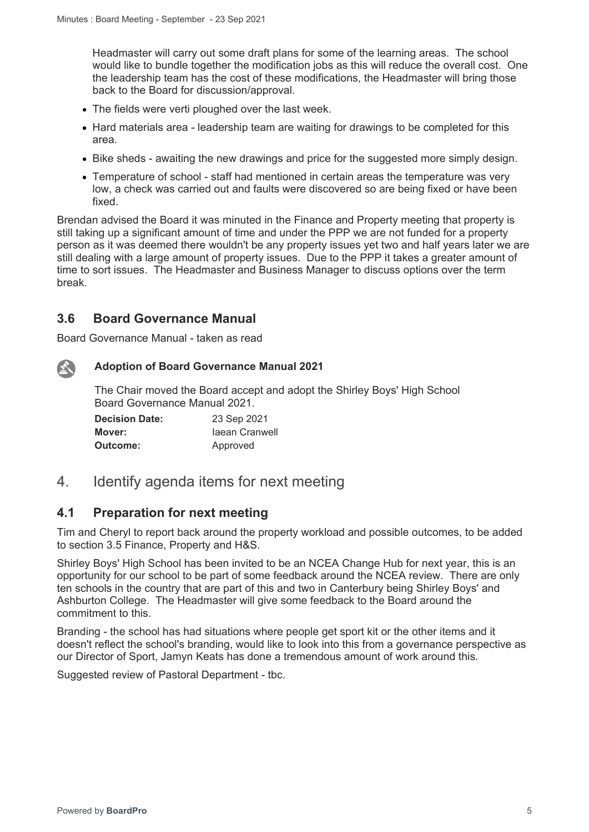Headmaster will carry out some draft plans for some of the learning areas. The school would like to bundle together the modification jobs as this will reduce the overall cost. One the leadership team has the cost of these modifications, the Headmaster will bring those back to the Board for discussion/approval.

- The fields were verti ploughed over the last week.
- Hard materials area leadership team are waiting for drawings to be completed for this area.
- Bike sheds awaiting the new drawings and price for the suggested more simply design.
- Temperature of school staff had mentioned in certain areas the temperature was very low, a check was carried out and faults were discovered so are being fixed or have been fixed.

Brendan advised the Board it was minuted in the Finance and Property meeting that property is still taking up a significant amount of time and under the PPP we are not funded for a property person as it was deemed there wouldn't be any property issues yet two and half years later we are still dealing with a large amount of property issues. Due to the PPP it takes a greater amount of time to sort issues. The Headmaster and Business Manager to discuss options over the term break.

# **3.6 Board Governance Manual**

Board Governance Manual - taken as read

公

#### **Adoption of Board Governance Manual 2021**

The Chair moved the Board accept and adopt the Shirley Boys' High School Board Governance Manual 2021.

| <b>Decision Date:</b> | 23 Sep 2021    |
|-----------------------|----------------|
| Mover:                | laean Cranwell |
| Outcome:              | Approved       |

# 4. Identify agenda items for next meeting

#### **4.1 Preparation for next meeting**

Tim and Cheryl to report back around the property workload and possible outcomes, to be added to section 3.5 Finance, Property and H&S.

Shirley Boys' High School has been invited to be an NCEA Change Hub for next year, this is an opportunity for our school to be part of some feedback around the NCEA review. There are only ten schools in the country that are part of this and two in Canterbury being Shirley Boys' and Ashburton College. The Headmaster will give some feedback to the Board around the commitment to this.

Branding - the school has had situations where people get sport kit or the other items and it doesn't reflect the school's branding, would like to look into this from a governance perspective as our Director of Sport, Jamyn Keats has done a tremendous amount of work around this.

Suggested review of Pastoral Department - tbc.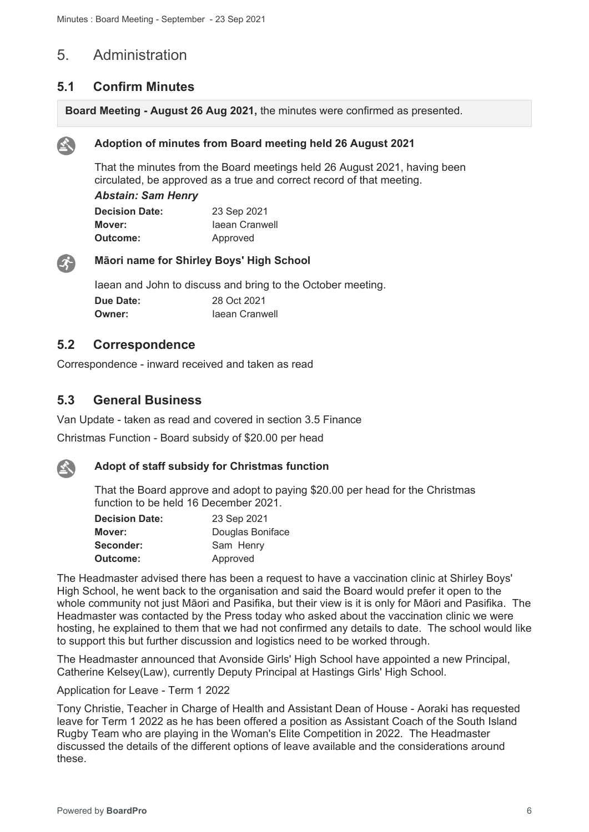# 5. Administration

## **5.1 Confirm Minutes**

**Board Meeting - August 26 Aug 2021,** the minutes were confirmed as presented.



#### **Adoption of minutes from Board meeting held 26 August 2021**

That the minutes from the Board meetings held 26 August 2021, having been circulated, be approved as a true and correct record of that meeting.

#### *Abstain: Sam Henry*

| <b>Decision Date:</b> | 23 Sep 2021    |
|-----------------------|----------------|
| Mover:                | Jaean Cranwell |
| <b>Outcome:</b>       | Approved       |



#### **Māori name for Shirley Boys' High School**

Iaean and John to discuss and bring to the October meeting. **Due Date:** 28 Oct 2021 **Owner: Iaean Cranwell** 

#### **5.2 Correspondence**

Correspondence - inward received and taken as read

#### **5.3 General Business**

Van Update - taken as read and covered in section 3.5 Finance

Christmas Function - Board subsidy of \$20.00 per head



#### **Adopt of staff subsidy for Christmas function**

That the Board approve and adopt to paying \$20.00 per head for the Christmas function to be held 16 December 2021.

| <b>Decision Date:</b> | 23 Sep 2021      |
|-----------------------|------------------|
| Mover:                | Douglas Boniface |
| Seconder:             | Sam Henry        |
| Outcome:              | Approved         |

The Headmaster advised there has been a request to have a vaccination clinic at Shirley Boys' High School, he went back to the organisation and said the Board would prefer it open to the whole community not just Māori and Pasifika, but their view is it is only for Māori and Pasifika. The Headmaster was contacted by the Press today who asked about the vaccination clinic we were hosting, he explained to them that we had not confirmed any details to date. The school would like to support this but further discussion and logistics need to be worked through.

The Headmaster announced that Avonside Girls' High School have appointed a new Principal, Catherine Kelsey(Law), currently Deputy Principal at Hastings Girls' High School.

#### Application for Leave - Term 1 2022

Tony Christie, Teacher in Charge of Health and Assistant Dean of House - Aoraki has requested leave for Term 1 2022 as he has been offered a position as Assistant Coach of the South Island Rugby Team who are playing in the Woman's Elite Competition in 2022. The Headmaster discussed the details of the different options of leave available and the considerations around these.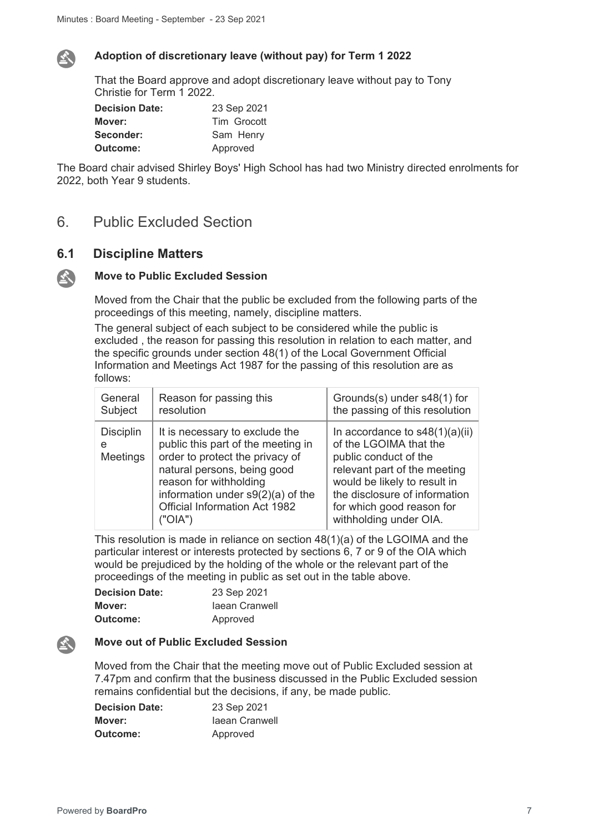

公

#### **Adoption of discretionary leave (without pay) for Term 1 2022**

That the Board approve and adopt discretionary leave without pay to Tony Christie for Term 1 2022.

| <b>Decision Date:</b> | 23 Sep 2021 |
|-----------------------|-------------|
| Mover:                | Tim Grocott |
| Seconder:             | Sam Henry   |
| <b>Outcome:</b>       | Approved    |

The Board chair advised Shirley Boys' High School has had two Ministry directed enrolments for 2022, both Year 9 students.

# 6. Public Excluded Section

#### **6.1 Discipline Matters**

#### **Move to Public Excluded Session**

Moved from the Chair that the public be excluded from the following parts of the proceedings of this meeting, namely, discipline matters.

The general subject of each subject to be considered while the public is excluded , the reason for passing this resolution in relation to each matter, and the specific grounds under section 48(1) of the Local Government Official Information and Meetings Act 1987 for the passing of this resolution are as follows:

| General                                  | Reason for passing this                                                                                                                                                                                                                             | Grounds(s) under s48(1) for                                                                                                                                                                                                                 |
|------------------------------------------|-----------------------------------------------------------------------------------------------------------------------------------------------------------------------------------------------------------------------------------------------------|---------------------------------------------------------------------------------------------------------------------------------------------------------------------------------------------------------------------------------------------|
| Subject                                  | resolution                                                                                                                                                                                                                                          | the passing of this resolution                                                                                                                                                                                                              |
| <b>Disciplin</b><br>e<br><b>Meetings</b> | It is necessary to exclude the<br>public this part of the meeting in<br>order to protect the privacy of<br>natural persons, being good<br>reason for withholding<br>information under $s9(2)(a)$ of the<br>Official Information Act 1982<br>("OIA") | In accordance to $s48(1)(a)(ii)$<br>of the LGOIMA that the<br>public conduct of the<br>relevant part of the meeting<br>would be likely to result in<br>the disclosure of information<br>for which good reason for<br>withholding under OIA. |

This resolution is made in reliance on section 48(1)(a) of the LGOIMA and the particular interest or interests protected by sections 6, 7 or 9 of the OIA which would be prejudiced by the holding of the whole or the relevant part of the proceedings of the meeting in public as set out in the table above.

| <b>Decision Date:</b> | 23 Sep 2021    |
|-----------------------|----------------|
| Mover:                | laean Cranwell |
| <b>Outcome:</b>       | Approved       |

#### **Move out of Public Excluded Session**

Moved from the Chair that the meeting move out of Public Excluded session at 7.47pm and confirm that the business discussed in the Public Excluded session remains confidential but the decisions, if any, be made public.

| <b>Decision Date:</b> | 23 Sep 2021    |
|-----------------------|----------------|
| Mover:                | Jaean Cranwell |
| Outcome:              | Approved       |

 $\mathbf{A}$